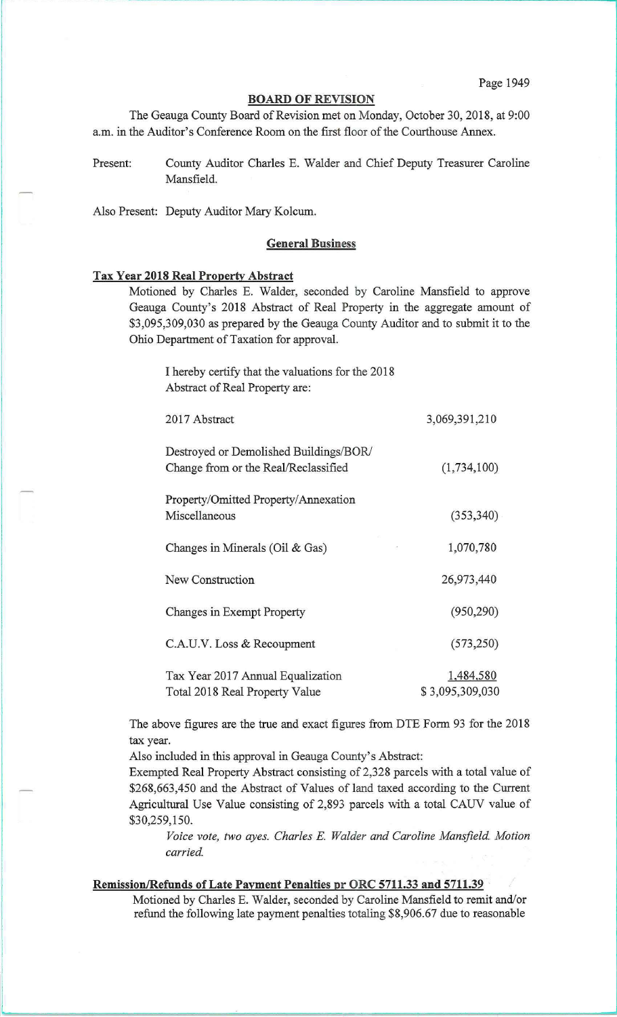## **BOARD OF REVISION**

The Geauga County Board of Revision met on Monday, October 30,2018, at 9:00 a.m. in the Auditor's Conference Room on the first floor of the Courthouse Annex.

Present: County Auditor Charles E. Walder and Chief Deputy Treasurer Caroline Mansfield.

Also Present: Deputy Auditor Mary Kolcum.

## **General Business**

## **Tax Year 2018 Real Property Abstract**

Motioned by Charles E. Walder, seconded by Caroline Mansfield to approve Geauga County's 2018 Abstract of Real Property in the aggregate amount of \$3,095,309,030 as prepared by the Geauga County Auditor and to submit it to the Ohio Department of Taxation for approval.

I hereby certify that the valuations for the 2018 Abstract of Real Property are:

| 2017 Abstract                                                                  | 3,069,391,210                |
|--------------------------------------------------------------------------------|------------------------------|
| Destroyed or Demolished Buildings/BOR/<br>Change from or the Real/Reclassified | (1,734,100)                  |
| Property/Omitted Property/Annexation<br>Miscellaneous                          | (353, 340)                   |
| Changes in Minerals (Oil & Gas)<br>a,                                          | 1,070,780                    |
| New Construction                                                               | 26,973,440                   |
| Changes in Exempt Property                                                     | (950, 290)                   |
| C.A.U.V. Loss & Recoupment                                                     | (573, 250)                   |
| Tax Year 2017 Annual Equalization<br>Total 2018 Real Property Value            | 1,484,580<br>\$3,095,309,030 |

The above figures are the true and exact figures from DTE Form 93 for the 2018 tax year.

Also included in this approval in Geauga County's Abstract:

Exempted Real Property Abstract consisting of 2,328 parcels with a total value of \$268,663,450 and the Abstract of Values of land taxed according to the Current Agricultural Use Value consisting of 2,893 parcels with a total CAUV value of \$30,259,150.

*Voice vote, two ayes. Charles E. Walder and Caroline Mansfield. Motion carried.* 

## **Remission/Refunds of Late Payment Penalties pr ORC 5711.33 and 5711.39**

Motioned by Charles E. Walder, seconded by Caroline Mansfield to remit and/or refund the following late payment penalties totaling \$8,906.67 due to reasonable